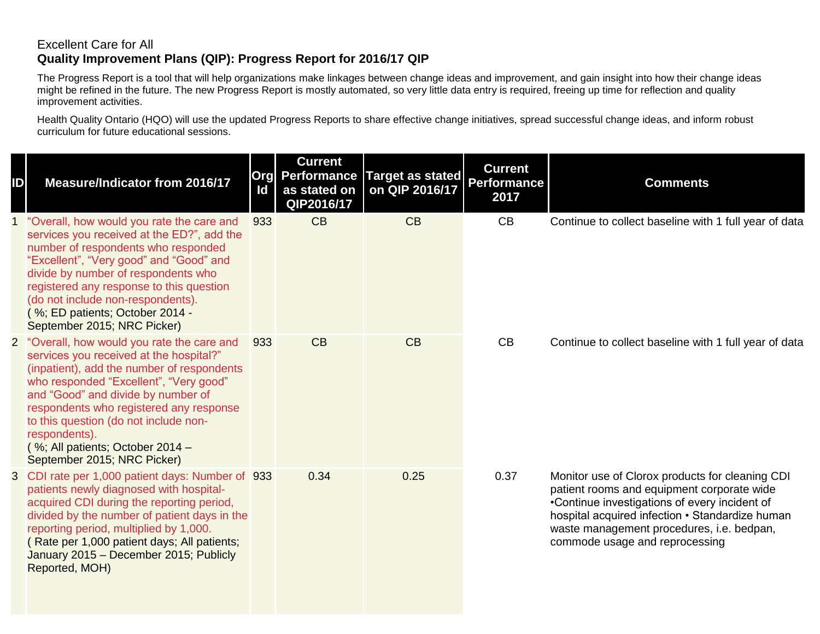## Excellent Care for All **Quality Improvement Plans (QIP): Progress Report for 2016/17 QIP**

The Progress Report is a tool that will help organizations make linkages between change ideas and improvement, and gain insight into how their change ideas might be refined in the future. The new Progress Report is mostly automated, so very little data entry is required, freeing up time for reflection and quality improvement activities.

Health Quality Ontario (HQO) will use the updated Progress Reports to share effective change initiatives, spread successful change ideas, and inform robust curriculum for future educational sessions.

| ID | <b>Measure/Indicator from 2016/17</b>                                                                                                                                                                                                                                                                                                                                                        | ld  | <b>Current</b><br><b>Org</b> Performance<br>as stated on<br>QIP2016/17 | Target as stated<br>on QIP 2016/17 | <b>Current</b><br><b>Performance</b><br>2017 | <b>Comments</b>                                                                                                                                                                                                                                                                  |
|----|----------------------------------------------------------------------------------------------------------------------------------------------------------------------------------------------------------------------------------------------------------------------------------------------------------------------------------------------------------------------------------------------|-----|------------------------------------------------------------------------|------------------------------------|----------------------------------------------|----------------------------------------------------------------------------------------------------------------------------------------------------------------------------------------------------------------------------------------------------------------------------------|
|    | "Overall, how would you rate the care and<br>services you received at the ED?", add the<br>number of respondents who responded<br>"Excellent", "Very good" and "Good" and<br>divide by number of respondents who<br>registered any response to this question<br>(do not include non-respondents).<br>(%; ED patients; October 2014 -<br>September 2015; NRC Picker)                          | 933 | CB                                                                     | CB                                 | CB                                           | Continue to collect baseline with 1 full year of data                                                                                                                                                                                                                            |
|    | 2 "Overall, how would you rate the care and<br>services you received at the hospital?"<br>(inpatient), add the number of respondents<br>who responded "Excellent", "Very good"<br>and "Good" and divide by number of<br>respondents who registered any response<br>to this question (do not include non-<br>respondents).<br>(%; All patients; October 2014 -<br>September 2015; NRC Picker) | 933 | CB                                                                     | CB                                 | CB                                           | Continue to collect baseline with 1 full year of data                                                                                                                                                                                                                            |
|    | 3 CDI rate per 1,000 patient days: Number of 933<br>patients newly diagnosed with hospital-<br>acquired CDI during the reporting period,<br>divided by the number of patient days in the<br>reporting period, multiplied by 1,000.<br>(Rate per 1,000 patient days; All patients;<br>January 2015 - December 2015; Publicly<br>Reported, MOH)                                                |     | 0.34                                                                   | 0.25                               | 0.37                                         | Monitor use of Clorox products for cleaning CDI<br>patient rooms and equipment corporate wide<br>•Continue investigations of every incident of<br>hospital acquired infection • Standardize human<br>waste management procedures, i.e. bedpan,<br>commode usage and reprocessing |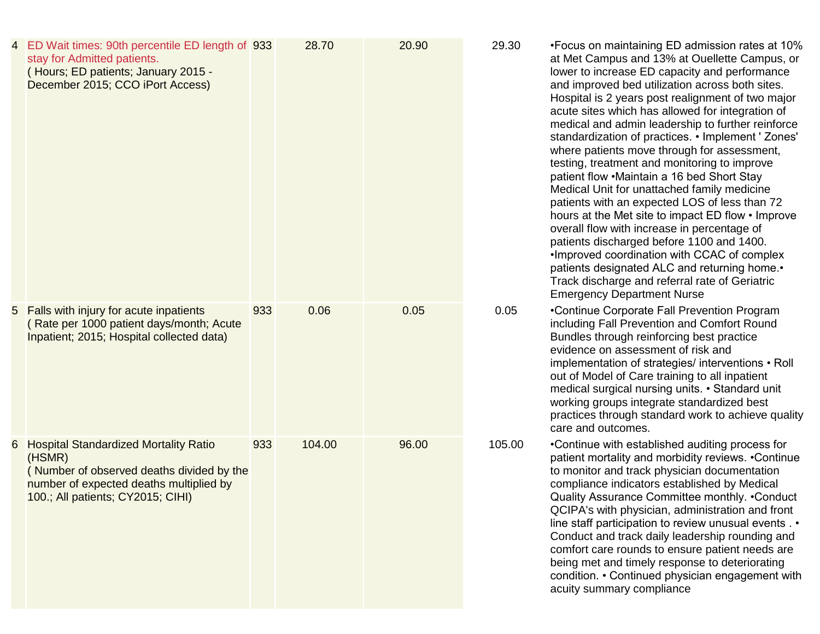|    | 4 ED Wait times: 90th percentile ED length of 933<br>stay for Admitted patients.<br>(Hours; ED patients; January 2015 -<br>December 2015; CCO iPort Access)                         |     | 28.70  | 20.90 | 29.30  | •Focus on maintaining ED admission rates at 10%<br>at Met Campus and 13% at Ouellette Campus, or<br>lower to increase ED capacity and performance<br>and improved bed utilization across both sites.<br>Hospital is 2 years post realignment of two major<br>acute sites which has allowed for integration of<br>medical and admin leadership to further reinforce<br>standardization of practices. • Implement ' Zones'<br>where patients move through for assessment,<br>testing, treatment and monitoring to improve<br>patient flow .Maintain a 16 bed Short Stay<br>Medical Unit for unattached family medicine<br>patients with an expected LOS of less than 72<br>hours at the Met site to impact ED flow • Improve<br>overall flow with increase in percentage of<br>patients discharged before 1100 and 1400.<br>. Improved coordination with CCAC of complex<br>patients designated ALC and returning home.<br>Track discharge and referral rate of Geriatric<br><b>Emergency Department Nurse</b> |
|----|-------------------------------------------------------------------------------------------------------------------------------------------------------------------------------------|-----|--------|-------|--------|--------------------------------------------------------------------------------------------------------------------------------------------------------------------------------------------------------------------------------------------------------------------------------------------------------------------------------------------------------------------------------------------------------------------------------------------------------------------------------------------------------------------------------------------------------------------------------------------------------------------------------------------------------------------------------------------------------------------------------------------------------------------------------------------------------------------------------------------------------------------------------------------------------------------------------------------------------------------------------------------------------------|
|    | 5 Falls with injury for acute inpatients<br>Rate per 1000 patient days/month; Acute<br>Inpatient; 2015; Hospital collected data)                                                    | 933 | 0.06   | 0.05  | 0.05   | •Continue Corporate Fall Prevention Program<br>including Fall Prevention and Comfort Round<br>Bundles through reinforcing best practice<br>evidence on assessment of risk and<br>implementation of strategies/ interventions • Roll<br>out of Model of Care training to all inpatient<br>medical surgical nursing units. • Standard unit<br>working groups integrate standardized best<br>practices through standard work to achieve quality<br>care and outcomes.                                                                                                                                                                                                                                                                                                                                                                                                                                                                                                                                           |
| 6. | <b>Hospital Standardized Mortality Ratio</b><br>(HSMR)<br>(Number of observed deaths divided by the<br>number of expected deaths multiplied by<br>100.; All patients; CY2015; CIHI) | 933 | 104.00 | 96.00 | 105.00 | •Continue with established auditing process for<br>patient mortality and morbidity reviews. • Continue<br>to monitor and track physician documentation<br>compliance indicators established by Medical<br>Quality Assurance Committee monthly. . Conduct<br>QCIPA's with physician, administration and front<br>line staff participation to review unusual events . •<br>Conduct and track daily leadership rounding and<br>comfort care rounds to ensure patient needs are<br>being met and timely response to deteriorating<br>condition. • Continued physician engagement with<br>acuity summary compliance                                                                                                                                                                                                                                                                                                                                                                                               |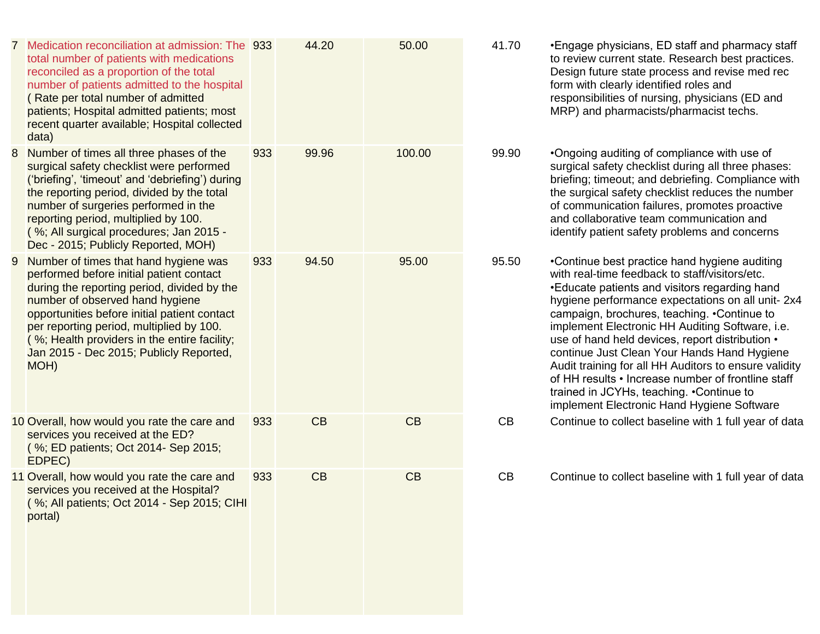|   | 7 Medication reconciliation at admission: The 933<br>total number of patients with medications<br>reconciled as a proportion of the total<br>number of patients admitted to the hospital<br>(Rate per total number of admitted<br>patients; Hospital admitted patients; most<br>recent quarter available; Hospital collected<br>data)                              |     | 44.20 | 50.00  | 41.       |
|---|--------------------------------------------------------------------------------------------------------------------------------------------------------------------------------------------------------------------------------------------------------------------------------------------------------------------------------------------------------------------|-----|-------|--------|-----------|
| 8 | Number of times all three phases of the<br>surgical safety checklist were performed<br>('briefing', 'timeout' and 'debriefing') during<br>the reporting period, divided by the total<br>number of surgeries performed in the<br>reporting period, multiplied by 100.<br>(%; All surgical procedures; Jan 2015 -<br>Dec - 2015; Publicly Reported, MOH)             | 933 | 99.96 | 100.00 | 99.       |
| 9 | Number of times that hand hygiene was<br>performed before initial patient contact<br>during the reporting period, divided by the<br>number of observed hand hygiene<br>opportunities before initial patient contact<br>per reporting period, multiplied by 100.<br>(%; Health providers in the entire facility;<br>Jan 2015 - Dec 2015; Publicly Reported,<br>MOH) | 933 | 94.50 | 95.00  | 95.       |
|   | 10 Overall, how would you rate the care and<br>services you received at the ED?<br>(%; ED patients; Oct 2014- Sep 2015;<br>EDPEC)                                                                                                                                                                                                                                  | 933 | CB    | CB     | <b>CI</b> |
|   | 11 Overall, how would you rate the care and<br>services you received at the Hospital?<br>(%; All patients; Oct 2014 - Sep 2015; CIHI<br>portal)                                                                                                                                                                                                                    | 933 | CB    | CB     | <b>CI</b> |

```
70 • Engage physicians, ED staff and pharmacy staff
to review current state. Research best practices. 
 Design future state process and revise med rec 
form with clearly identified roles and 
responsibilities of nursing, physicians (ED and 
MRP) and pharmacists/pharmacist techs.
```
90 • Ongoing auditing of compliance with use of surgical safety checklist during all three phases: briefing; timeout; and debriefing. Compliance with the surgical safety checklist reduces the number of communication failures, promotes proactive and collaborative team communication and identify patient safety problems and concerns

50 •Continue best practice hand hygiene auditing with real -time feedback to staff/visitors/etc. •Educate patients and visitors regarding hand hygiene performance expectations on all unit - 2x4 campaign, brochures, teaching. •Continue to implement Electronic HH Auditing Software, i.e. use of hand held devices, report distribution • continue Just Clean Your Hands Hand Hygiene Audit training for all HH Auditors to ensure validity of HH results • Increase number of frontline staff trained in JCYHs, teaching. •Continue to implement Electronic Hand Hygiene Software

B Continue to collect baseline with 1 full year of data

B Continue to collect baseline with 1 full year of data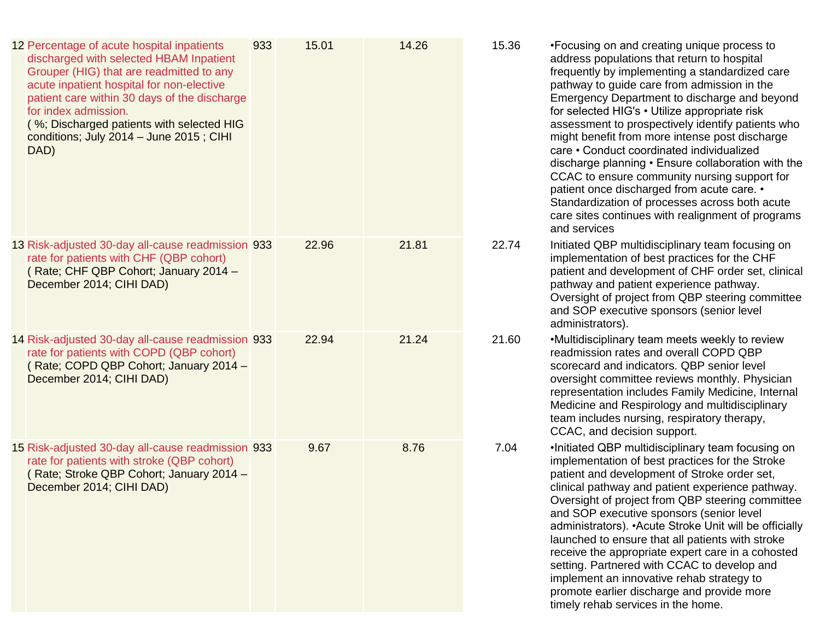| 12 Percentage of acute hospital inpatients<br>discharged with selected HBAM Inpatient<br>Grouper (HIG) that are readmitted to any<br>acute inpatient hospital for non-elective<br>patient care within 30 days of the discharge<br>for index admission.<br>(%; Discharged patients with selected HIG<br>conditions; July 2014 - June 2015; CIHI<br>DAD) | 933 | 15.01 | 14.26 | 15.36 | •Focusing on and creating unique process to<br>address populations that return to hospital<br>frequently by implementing a standardized care<br>pathway to guide care from admission in the<br>Emergency Department to discharge and beyond<br>for selected HIG's • Utilize appropriate risk<br>assessment to prospectively identify patients who<br>might benefit from more intense post discharge<br>care • Conduct coordinated individualized<br>discharge planning . Ensure collaboration with the<br>CCAC to ensure community nursing support for<br>patient once discharged from acute care. •<br>Standardization of processes across both acute<br>care sites continues with realignment of programs<br>and services |
|--------------------------------------------------------------------------------------------------------------------------------------------------------------------------------------------------------------------------------------------------------------------------------------------------------------------------------------------------------|-----|-------|-------|-------|-----------------------------------------------------------------------------------------------------------------------------------------------------------------------------------------------------------------------------------------------------------------------------------------------------------------------------------------------------------------------------------------------------------------------------------------------------------------------------------------------------------------------------------------------------------------------------------------------------------------------------------------------------------------------------------------------------------------------------|
| 13 Risk-adjusted 30-day all-cause readmission 933<br>rate for patients with CHF (QBP cohort)<br>(Rate; CHF QBP Cohort; January 2014 -<br>December 2014; CIHI DAD)                                                                                                                                                                                      |     | 22.96 | 21.81 | 22.74 | Initiated QBP multidisciplinary team focusing on<br>implementation of best practices for the CHF<br>patient and development of CHF order set, clinical<br>pathway and patient experience pathway.<br>Oversight of project from QBP steering committee<br>and SOP executive sponsors (senior level<br>administrators).                                                                                                                                                                                                                                                                                                                                                                                                       |
| 14 Risk-adjusted 30-day all-cause readmission 933<br>rate for patients with COPD (QBP cohort)<br>(Rate; COPD QBP Cohort; January 2014 -<br>December 2014; CIHI DAD)                                                                                                                                                                                    |     | 22.94 | 21.24 | 21.60 | •Multidisciplinary team meets weekly to review<br>readmission rates and overall COPD QBP<br>scorecard and indicators. QBP senior level<br>oversight committee reviews monthly. Physician<br>representation includes Family Medicine, Internal<br>Medicine and Respirology and multidisciplinary<br>team includes nursing, respiratory therapy,<br>CCAC, and decision support.                                                                                                                                                                                                                                                                                                                                               |
| 15 Risk-adjusted 30-day all-cause readmission 933<br>rate for patients with stroke (QBP cohort)<br>(Rate; Stroke QBP Cohort; January 2014 -<br>December 2014; CIHI DAD)                                                                                                                                                                                |     | 9.67  | 8.76  | 7.04  | .Initiated QBP multidisciplinary team focusing on<br>implementation of best practices for the Stroke<br>patient and development of Stroke order set,<br>clinical pathway and patient experience pathway.<br>Oversight of project from QBP steering committee<br>and SOP executive sponsors (senior level<br>administrators). • Acute Stroke Unit will be officially<br>launched to ensure that all patients with stroke<br>receive the appropriate expert care in a cohosted<br>setting. Partnered with CCAC to develop and<br>implement an innovative rehab strategy to<br>promote earlier discharge and provide more<br>timely rehab services in the home.                                                                |